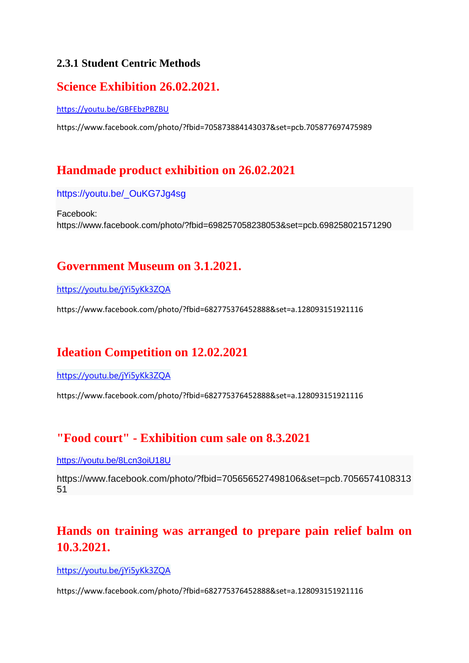#### **2.3.1 Student Centric Methods**

#### **Science Exhibition 26.02.2021.**

<https://youtu.be/GBFEbzPBZBU>

https://www.facebook.com/photo/?fbid=705873884143037&set=pcb.705877697475989

## **Handmade product exhibition on 26.02.2021**

[https://youtu.be/\\_OuKG7Jg4sg](https://youtu.be/_OuKG7Jg4sg)

Facebook: https://www.facebook.com/photo/?fbid=698257058238053&set=pcb.698258021571290

## **Government Museum on 3.1.2021.**

<https://youtu.be/jYi5yKk3ZQA>

https://www.facebook.com/photo/?fbid=682775376452888&set=a.128093151921116

## **Ideation Competition on 12.02.2021**

<https://youtu.be/jYi5yKk3ZQA>

https://www.facebook.com/photo/?fbid=682775376452888&set=a.128093151921116

## **"Food court" - Exhibition cum sale on 8.3.2021**

<https://youtu.be/8Lcn3oiU18U>

https://www.facebook.com/photo/?fbid=705656527498106&set=pcb.7056574108313 51

## **Hands on training was arranged to prepare pain relief balm on 10.3.2021.**

<https://youtu.be/jYi5yKk3ZQA>

https://www.facebook.com/photo/?fbid=682775376452888&set=a.128093151921116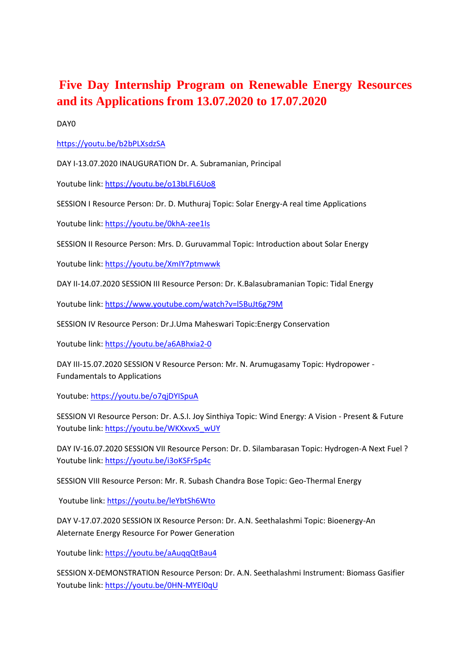## **Five Day Internship Program on Renewable Energy Resources and its Applications from 13.07.2020 to 17.07.2020**

DAY0

#### <https://youtu.be/b2bPLXsdzSA>

DAY I-13.07.2020 INAUGURATION Dr. A. Subramanian, Principal

Youtube link:<https://youtu.be/o13bLFL6Uo8>

SESSION I Resource Person: Dr. D. Muthuraj Topic: Solar Energy-A real time Applications

Youtube link[: https://youtu.be/0khA-zee1Is](https://youtu.be/0khA-zee1Is)

SESSION II Resource Person: Mrs. D. Guruvammal Topic: Introduction about Solar Energy

Youtube link:<https://youtu.be/XmIY7ptmwwk>

DAY II-14.07.2020 SESSION III Resource Person: Dr. K.Balasubramanian Topic: Tidal Energy

Youtube link:<https://www.youtube.com/watch?v=l5BuJt6g79M>

SESSION IV Resource Person: Dr.J.Uma Maheswari Topic:Energy Conservation

Youtube link:<https://youtu.be/a6ABhxia2-0>

DAY III-15.07.2020 SESSION V Resource Person: Mr. N. Arumugasamy Topic: Hydropower - Fundamentals to Applications

Youtube:<https://youtu.be/o7qjDYISpuA>

SESSION VI Resource Person: Dr. A.S.I. Joy Sinthiya Topic: Wind Energy: A Vision - Present & Future Youtube link: [https://youtu.be/WKXxvx5\\_wUY](https://youtu.be/WKXxvx5_wUY)

DAY IV-16.07.2020 SESSION VII Resource Person: Dr. D. Silambarasan Topic: Hydrogen-A Next Fuel ? Youtube link:<https://youtu.be/i3oKSFr5p4c>

SESSION VIII Resource Person: Mr. R. Subash Chandra Bose Topic: Geo-Thermal Energy

Youtube link:<https://youtu.be/leYbtSh6Wto>

DAY V-17.07.2020 SESSION IX Resource Person: Dr. A.N. Seethalashmi Topic: Bioenergy-An Aleternate Energy Resource For Power Generation

Youtube link:<https://youtu.be/aAuqqQtBau4>

SESSION X-DEMONSTRATION Resource Person: Dr. A.N. Seethalashmi Instrument: Biomass Gasifier Youtube link:<https://youtu.be/0HN-MYEI0qU>